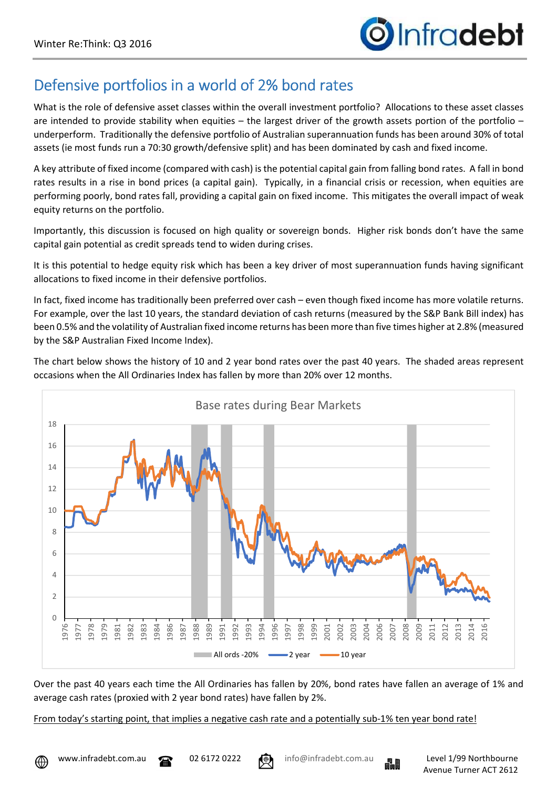## Defensive portfolios in a world of 2% bond rates

What is the role of defensive asset classes within the overall investment portfolio? Allocations to these asset classes are intended to provide stability when equities – the largest driver of the growth assets portion of the portfolio – underperform. Traditionally the defensive portfolio of Australian superannuation funds has been around 30% of total assets (ie most funds run a 70:30 growth/defensive split) and has been dominated by cash and fixed income.

A key attribute of fixed income (compared with cash) is the potential capital gain from falling bond rates. A fall in bond rates results in a rise in bond prices (a capital gain). Typically, in a financial crisis or recession, when equities are performing poorly, bond rates fall, providing a capital gain on fixed income. This mitigates the overall impact of weak equity returns on the portfolio.

Importantly, this discussion is focused on high quality or sovereign bonds. Higher risk bonds don't have the same capital gain potential as credit spreads tend to widen during crises.

It is this potential to hedge equity risk which has been a key driver of most superannuation funds having significant allocations to fixed income in their defensive portfolios.

In fact, fixed income has traditionally been preferred over cash – even though fixed income has more volatile returns. For example, over the last 10 years, the standard deviation of cash returns (measured by the S&P Bank Bill index) has been 0.5% and the volatility of Australian fixed income returns has been more than five times higher at 2.8% (measured by the S&P Australian Fixed Income Index).

The chart below shows the history of 10 and 2 year bond rates over the past 40 years. The shaded areas represent occasions when the All Ordinaries Index has fallen by more than 20% over 12 months.



Over the past 40 years each time the All Ordinaries has fallen by 20%, bond rates have fallen an average of 1% and average cash rates (proxied with 2 year bond rates) have fallen by 2%.

From today's starting point, that implies a negative cash rate and a potentially sub-1% ten year bond rate!